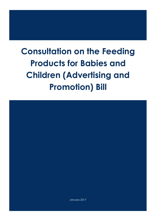# **Consultation on the Feeding Products for Babies and Children (Advertising and Promotion) Bill**



January 2017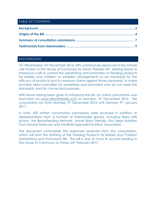# TABLE OF CONTENTS

## <span id="page-1-0"></span>BACKGROUND

On Wednesday 16th November 2016, MPs unanimously approved a ten minute rule motion in the House of Commons by Alison Thewliss MP, seeking leave to introduce a bill to control the advertising and promotion of feeding products for babies and children; to establish arrangements to set standards for the efficacy of products and to measure claims against those standards; to make provision about penalties for advertisers and promoters who do not meet the standards; and for connected purposes.

With leave having been given to introduce the bill, an online consultation was launched via [www.alisonthewliss.scot](http://www.alisonthewliss.scot/) on Monday, 5<sup>th</sup> December 2016. The consultation ran from Monday 5<sup>th</sup> December 2016 until Monday 9<sup>th</sup> January 2017.

In total, 332 written consultation submissions were received in addition to representations from a number of stakeholder groups, including Baby Milk Action, the Breastfeeding Network, Unicef Baby Friendly, First Steps Nutrition Trust, Kendal Nutricare and the British Specialist Nutrition Association.

The document summarises the responses received from the consultation, which will form the drafting of the Feeding Products for Babies and Children (Advertising and Promotion) Bill. The bill is due to have its second reading in the House of Commons on Friday 24th February 2017.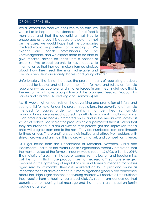#### <span id="page-2-0"></span>ORIGINS OF THE BILL

We all expect the food we consume to be safe. We would like to hope that the standard of that food is monitored and that the advertising that tries to encourage us to buy it is accurate; should that not be the case, we would hope that the companies involved would be punished for misleading us. We expect our health professionals to be knowledgeable, and we expect them to be able to give impartial advice on foods from a position of expertise. We expect parents to have access to information so that they can make informed choices about how they feed the most vulnerable and precious people in our society: babies and young children.



Unfortunately, that is not the case. The present means of regulating products intended for babies and children—the infant formula and follow-on formula regulations—has loopholes and is not enforced in any meaningful way. That is the reason why I have brought forward the proposed Feeding Products for Babies and Children (Advertising and Promotion) Bill.

My Bill would tighten controls on the advertising and promotion of infant and young child formula. Under the present regulations, the advertising of formula intended for babies under six months is not permitted, so formula manufacturers have instead focused their efforts on promoting follow-on milks. Such products are heavily promoted on TV and in the media with soft-focus visuals of babies. Looking at the products on a supermarket shelf, it is clear that they are branded in a similar way so that parents get the impression that a child will progress from one to the next. They are numbered from one through to three or four. The branding is very distinctive and attractive—golden, with shields, crowns and animals. This is a growing market, and competition is fierce.

Dr Nigel Rollins from the Department of Maternal, Newborn, Child and Adolescent Health at the World Health Organisation recently predicted that the market value of the formula industry would reach US \$70.6 billion by 2019. The majority of growth in the sector comes from follow-on and toddler milks, but the truth is that those products are not necessary. They have emerged because of the tightening of regulations around formula intended for babies aged zero to six months. They are marketed on TV, in print and online as important for child development, but many agencies globally are concerned about their high sugar content, and young children will receive all the nutrients they require from a healthy, balanced diet. As such, I am concerned that parents are not hearing that message and that there is an impact on family budgets as a result.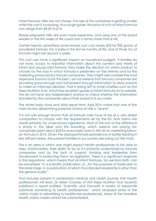Infant formula milks are not cheap. The size of the containers is getting smaller while the cost is increasing. As a rough guide, the price of a tin of infant formula can range from £8.50 to £14.

Ready-prepared milks are even more expensive, and using one of the brand leaders in the first week of life could cost a family more than £100.

Certain heavily advertised niche brands can cost nearly £23 for 900 grams of powdered formula. For a baby in the first six months of life, one of those tins of formula might last around a week.

This cost can have a significant impact on household budgets. If families do not have access to impartial information about the content and merits of infant and young child formula, they make the decision on which product to choose by the way in which formula is presented on the shelves and by the marketing produced by formula companies. They might well consider the most expensive formula to be the best. I do not believe that formula companies are providing good enough and transparent enough information to allow parents to make an informed decision. That is being left to small charities such as First Steps Nutrition Trust, which has excellent guides to infant formula on its website. We do not have any independent analysis to check whether the information provided by the companies about their products is accurate.

The Mintel baby food and drink report from April 2016 noted that one of the main factors determining parental choice of milk is "brand".

It is not well enough known that all formula milks have to be of a very similar composition to comply with the requirements set by the EU, and claims are made primarily for unnecessary ingredients. Most of the rest of the difference is simply in the label and the branding, which parents are paying for: companies spent about £23 for every baby born in the UK on marketing followon formula in 2015. Given the disproportionate prevalence of bottle feeding in less affluent areas, the poorest families in our society are losing out the most.

This is an area in which one might expect health professionals to be able to help. Unfortunately, their ability to do so is constantly undermined by formula companies and by the lack of support, funding and leadership from Government in protecting them via legislation. There is a significant loophole in the regulations, which means that all infant formulas, for use from birth, can be advertised "in a scientific publication, or…for the purposes of trade prior to the retail stage, in a publication of which the intended readership is other than the general public".

That includes adverts in professional medical and health journals that health professionals will read. Dr Helen Crawley of First Steps Nutrition Trust recently published a report entitled "Scientific and Factual? A review of breastmilk substitute advertising to health professionals", which analysed some of the claims made in advertising to healthcare professionals. Many of the headline health claims made cannot be substantiated.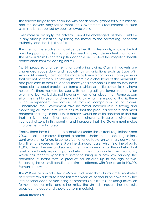The sources they cite are not in line with health policy, graphs set out to mislead and the adverts may fail to meet the Government's requirement for such claims to be supported by peer-reviewed work.

Even more frustratingly, the adverts cannot be challenged, as they could be in any other publication, by taking the matter to the Advertising Standards Authority, and that is just not fair.

The intent of these adverts is to influence health professionals, who are the first line of support to families, but families need proper, independent information. The Bill would aim to tighten up this loophole and protect the integrity of health professionals from misleading claims.

My Bill proposes arrangements for controlling claims. Claims in adverts are challenged successfully and regularly by organisations such as Baby Milk Action. At present, claims can be made by formula companies for ingredients that are not necessary. For example, there is a global trend at the moment to add probiotics to formula, and for many years companies in this country have made claims about prebiotics in formula, which scientific authorities say have no benefit. There may also be issues with the degrading of formula composition over time, but we just do not have any information about that. Formulas can sit on the shelf for years, and we do not know what the impact of that is. There is no independent verification of formula composition or of claims. Furthermore, the Government take no formal national role in testing and monitoring all infant formulas to ensure that the products are safe and meet compositional regulations. I think parents would be quite shocked to find out that this is the case. These products are chosen with care to give to our youngest citizens in this country, and I propose that the Government makes improvements in this area.

Finally, there have been no prosecutions under the current regulations since 2003, despite numerous flagrant breaches. Under the present regulations, contravention or failure to comply is an offence liable, on summary conviction, to a fine not exceeding level 5 on the standard scale, which is a fine of up to £5,000. Given the size and scale of the companies and of the industry, that level of fine barely impacts upon industry. This is in stark contrast with Romania, which has recently signalled its intent to bring in a new law banning the promotion of infant formula products for children up to the age of two. Breaching the rules will constitute a criminal offence, with fines of up to 100,000 Romanian new leu.

The WHO resolution adopted in May 2016 clarified that all infant milks marketed as a breastmilk substitute in the first three years of life should be covered by the international code of marketing of breastmilk substitutes, including follow-on formula, toddler milks and other milks. The United Kingdom has not fully adopted the code and should do so immediately.

## **Alison Thewliss MP**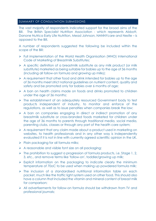## <span id="page-5-0"></span>SUMMARY OF CONSULTATION SUBMISSIONS

The vast majority of respondents indicated support for the broad aims of the Bill. The British Specialist Nutrition Association - which represents Abbott, Danone Nutrica Early Life Nutrition, Mead Johnson, NANNYcare and Nestle – is opposed to the Bill.

A number of respondents suggested the following be included within the scope of the Bill:

- Full implementation of the World Health Organisation (WHO) International Code of Marketing of Breastmilk Substitutes;
- A specific definition of a breastmilk substitute as any milk product (or milk substitute) marketed as being suitable for babies up to the age of 36 months (including all follow-on formula and growing up milks);
- $\triangleright$  A requirement that other food and drink intended for babies up to the age of 36 months meet strict national guidelines on nutrient content, quality and safety and be promoted only for babies over 6 months of age;
- $\triangleright$  A ban on health claims made on foods and drinks promoted to children under the age of 36 months;
- > The establishment of an adequately resourced Government body to test products independent of industry, to monitor and enforce of the regulations, as well as to issue penalties when companies break the law;
- A ban on companies engaging in direct or indirect promotion of any breastmilk substitute or cross-branded foods marketed for children under the age of 36 months to parents through traditional media, social media, parenting clubs, classes or through any part of the health care system;
- A requirement that any claim made about a product used in marketing on websites, to health professionals and in any other way is independently evaluated if it is not in line with currently agreed scientific opinion in the UK.
- $\triangleright$  Plain packaging for all formula milks;
- $\triangleright$  A reasonable and visible font size on all packaging;
- > The prohibition to suggest a progression of formula products, i.e. Stage 1, 2, 3, etc., and remove terms like 'follow-on', toddler/growing up milk;
- $\triangleright$  Explicit information on the packaging to indicate clearly the minimum temperature of 70oC to be used when making up powdered formula milk;
- $\triangleright$  The inclusion of a standardised nutritional information table on each packet, much like the traffic light system used on other food. This should also have a column that included the vitamin and mineral content of breast milk for comparison;
- All advertisements for follow-on formula should be withdrawn from TV and professional journals;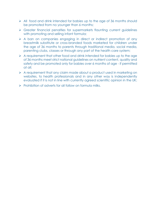- $\triangleright$  All food and drink intended for babies up to the age of 36 months should be promoted from no younger than 6 months;
- Greater financial penalties for supermarkets flaunting current guidelines with promoting and selling infant formula;
- A ban on companies engaging in direct or indirect promotion of any breastmilk substitute or cross-branded foods marketed for children under the age of 36 months to parents through traditional media, social media, parenting clubs, classes or through any part of the health care system;
- $\triangleright$  A requirement that other food and drink intended for babies up to the age of 36 months meet strict national guidelines on nutrient content, quality and safety and be promoted only for babies over 6 months of age - if permitted at all;
- $\triangleright$  A requirement that any claim made about a product used in marketing on websites, to health professionals and in any other way is independently evaluated if it is not in line with currently agreed scientific opinion in the UK;
- $\triangleright$  Prohibition of adverts for all follow on formula milks.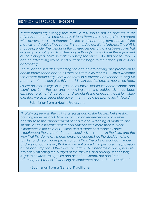## <span id="page-7-0"></span>TESTIMONIALS FROM STAKEHOLDERS

*"I feel particularly strongly that formula milk should not be allowed to be advertised to health professionals. It turns them into sales reps for a product with adverse health outcomes for the short and long term health of the mothers and babies they serve. It is a massive conflict of interest. The NHS is struggling under the weight of the consequences of having been complicit in quietly promoting artificial feeding as though it was almost the equivalent of the biological norm, in maternity hospitals since 1945. This has to stop. A ban on advertising would send a clear message to the nation, just as it did on smoking.* 

*The guidance includes extending the ban on advertising and promotion to health professionals and to all formulas from 6-36 months. I would welcome this aspect particularly. Follow-on formula is currently advertised to beguile parents that they can give this to toddlers instead of proper, nourishing food.* 

*Follow-on milk is high in sugars, cumulative plasticiser contaminants and aluminium from the tins and processing (that the babies will have been*  exposed to almost since birth) and supplants the cheaper, healthier, wider *diet that we as a responsible government should be promoting instead."*

Submission from a Health Professional

*"I totally agree with the points raised as part of the bill and believe that*  **banning unnecessary follow on formula advertisement would further** *contribute to the enhancement of health and wellbeing of mothers and infants. As an associate professor in Nutrition with more than 20 years experience in the field of Nutrition and a father of a toddler, I have*  experienced the impact of the powerful advertisement in the field, and the *way that this dominant media presence undermines the decision of the families and health care professionals. I think the bill is of significant value and impact considering that with current advertising pressure, the provision of the consumption of the follow on formula has become a 'norm', not only adversely affecting the budget of the families, and adding unnecessary sugar to newly shaping taste and diet of the infant, but also further affecting the process of weaning or supplementary food consumption."*

- Submission from a General Practitioner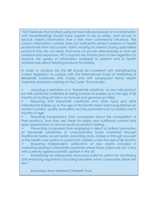*"NCT believes that mothers using formula milk (exclusively or in combination with breastfeeding) should have support to do so safely, and access to*  factual, helpful information that is free from commercial influence. The *current information context does not sufficiently protect parents or health professionals from inaccurate claims; leading to parents buying specialised products they do not need, that have no proven effectiveness or that are unreasonably expensive. NCT supports the introduction of new legislation to improve the quality of information available to parents and to health professionals about feeding products for babies.* 

In order to achieve this the Bill should be consistent with strengthening *current legislation to comply with the International Code of Marketing of Breastmilk Substitutes (the Code) and with subsequent World Health Assembly resolutions relating to the Code. This includes:* 

*• Adopting a definition of a 'breastmilk substitute' as any milk product (or milk substitute) marketed as being suitable for babies up to the age of 36 months (including all follow-on formula and growing up milks);*

*• Requiring that breastmilk substitutes and other food and drink intended for babies up to the age of 36 months meet national guidelines on nutrient content, quality and safety and be promoted only for babies over 6 months of age;*

*• Requiring transparency from companies about the composition of their products, how they test these for safety and nutritional content and open presentation of annual results on product testing;*

*• Preventing companies from engaging in direct or indirect promotion of breastmilk substitutes or cross-branded foods marketed through traditional media, social media, parenting clubs, classes or through any part of the health care system to parents for children under the age of 36 months;* 

*• Requiring independent verification of new claims included in marketing relating to breastmilk substitutes where these claims are not in line with currently agreed scientific opinion in the UK;*

*• Establishing an adequately resourced national system for monitoring and enforcing regulations; including penalties when companies break the law."*

- Submission from National Childbirth Trust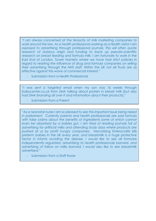*"I am always concerned at the tenacity of milk marketing companies to work around the law. As a health professional working as a Health visitor I am exposed to advertising through professional journals. This will often quote research of dubious origin and funding to back up pseudo-scientific*  research on breast feeding and formula milk. I am fortunate to work in the *East End of London, Tower Hamlets where we have had strict policies in regard to resisting the influence of drug and formula companies on selling their advertising through the NHS staff. Within the UK not all Trusts are as effective against this wave of commercial interest."*

Submission from a Health Professional

*"I was sent a targeted email when my son was 16 weeks through babycenter.co.uk from SMA talking about protein in breast milk (but also had SMA branding all over it and information about their products)."*

Submission from a Parent

*"As a neonatal nurse I am so pleased to see this important issue being raised in parliament. Currently parents and health professionals are sold formula*  with false claims about the benefits of ingredients some of which cannot even be absorbed by a babies gut. I am tired of reading journals full of *advertising for artificial milks and attending study days where products are pushed at us by profit hungry companies. Necrotising Enterocolitis kills preterm babies in the UK every year, and breastmilk is a huge protective factor in infants avoiding the disease. I would like to see all formulas independently regulated, advertising to health professionals banned, and advertising of follow on milks banned. I would also like to see breastmilk advertised."*

Submission from a Staff Nurse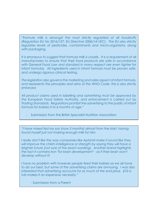*"Formula milk is amongst the most strictly regulated of all foodstuffs (Regulation EU No 2016/127; EU Directive 2006/141/EC). The EU also strictly*  regulates levels of pesticides, contaminants and micro-organisms, along *with packaging.* 

*It is erroneous to suggest that formula milk is unsafe. It is a requirement of all manufacturers to ensure that their food products are safe in accordance*  with General Food Law and standard in many respect are even tighter for *infant formulas. All ingredients used in infant formula must be proven safe, and undergo rigorous clinical testing.* 

*The legislation also governs the marketing and sales aspect of infant formula, and represents the principles and aims of the WHO Code; this is also strictly enforced.* 

*All product claims used in labelling and advertising must be approved by the European Food Safety Authority, and enforcement is carried out by Trading Standards. Regulations prohibit the advertising to the public of infant formula for babies 0 to 6 months of age."*

Submission from the British Specialist Nutrition Association

*"I have mixed fed my son (now 5 months) almost from the start, having found myself just not making enough milk for him.*

*I really don't like the way companies like Aptamil make it sound like they*  will improve the child's intelligence or strength by saying they will have a *brighter future (not sure of the exact wording). Another brand highlights the fact it contains iron "for brain development" - as if their brain won't develop without it!*

*I have no problem with however people feed their babies as we all have to do our best, but some of the advertising claims are annoying. I was also interested that advertising accounts for so much of the end price. £10 a tub makes it an expensive necessity."*

- Submission from a Parent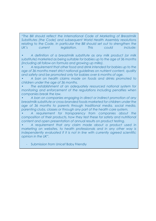*"The Bill should reflect the International Code of Marketing of Breastmilk Substitutes (the Code) and subsequent World Health Assembly resolutions relating to the Code. In particular the Bill should set out to strengthen the UK's current legislation. This could include:*

*• A definition of a breastmilk substitute as any milk product (or milk substitute) marketed as being suitable for babies up to the age of 36 months (including all follow-on formula and growing up milks).* 

*• A requirement that other food and drink intended for babies up to the age of 36 months meet strict national guidelines on nutrient content, quality and safety and be promoted only for babies over 6 months of age.*

*• A ban on health claims made on foods and drinks promoted to children under the age of 36 months.*

*• The establishment of an adequately resourced national system for monitoring and enforcement of the regulations including penalties when companies break the law.*

*• A ban on companies engaging in direct or indirect promotion of any breastmilk substitute or cross-branded foods marketed for children under the age of 36 months to parents through traditional media, social media, parenting clubs, classes or through any part of the health care system.* 

*• A requirement for transparency from companies about the composition of their products, how they test these for safety and nutritional content and open presentation of annual results on product testing.*

*• A requirement that any claim made about a product used in marketing on websites, to health professionals and in any other way is*  independently evaluated if it is not in line with currently agreed scientific *opinion in the UK".*

Submission from Unicef Baby Friendly